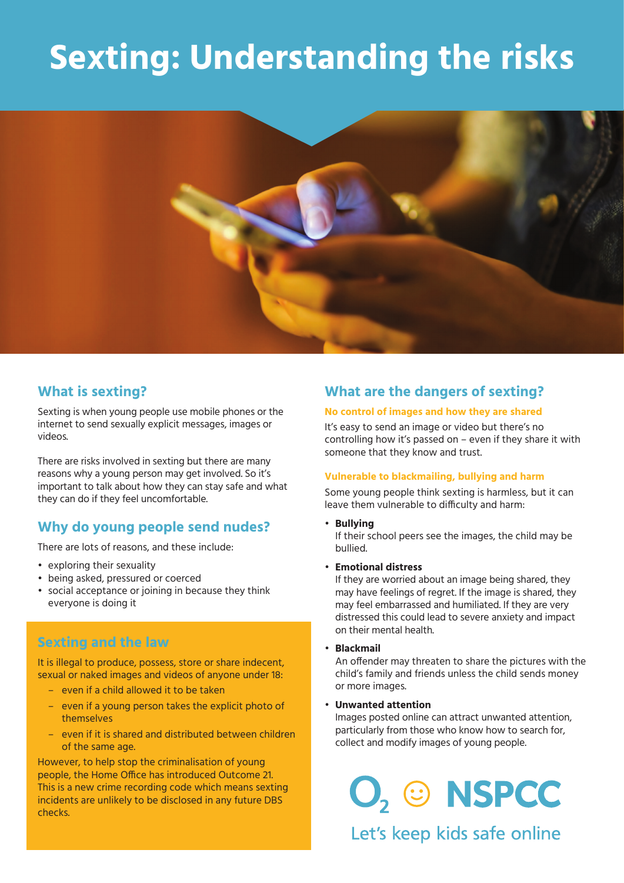# **Sexting: Understanding the risks**



## **What is sexting?**

Sexting is when young people use mobile phones or the internet to send sexually explicit messages, images or videos.

There are risks involved in sexting but there are many reasons why a young person may get involved. So it's important to talk about how they can stay safe and what they can do if they feel uncomfortable.

## **Why do young people send nudes?**

There are lots of reasons, and these include:

- exploring their sexuality
- being asked, pressured or coerced
- social acceptance or joining in because they think everyone is doing it

## **Sexting and the law**

 It is illegal to produce, possess, store or share indecent, sexual or naked images and videos of anyone under 18:

- even if a child allowed it to be taken
- even if a young person takes the explicit photo of themselves
- even if it is shared and distributed between children of the same age.

However, to help stop the criminalisation of young people, the Home Office has introduced Outcome 21. This is a new crime recording code which means sexting incidents are unlikely to be disclosed in any future DBS checks.

## **What are the dangers of sexting?**

#### **No control of images and how they are shared**

It's easy to send an image or video but there's no controlling how it's passed on – even if they share it with someone that they know and trust.

#### **Vulnerable to blackmailing, bullying and harm**

Some young people think sexting is harmless, but it can leave them vulnerable to difficulty and harm:

• **Bullying**

 If their school peers see the images, the child may be bullied.

• **Emotional distress**

 If they are worried about an image being shared, they may have feelings of regret. If the image is shared, they may feel embarrassed and humiliated. If they are very distressed this could lead to severe anxiety and impact on their mental health.

• **Blackmail**

 An offender may threaten to share the pictures with the child's family and friends unless the child sends money or more images.

• **Unwanted attention**

 Images posted online can attract unwanted attention, particularly from those who know how to search for, collect and modify images of young people.